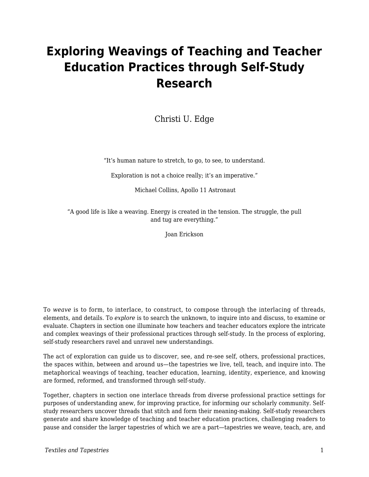## **Exploring Weavings of Teaching and Teacher Education Practices through Self-Study Research**

Christi U. Edge

"It's human nature to stretch, to go, to see, to understand.

Exploration is not a choice really; it's an imperative."

Michael Collins, Apollo 11 Astronaut

"A good life is like a weaving. Energy is created in the tension. The struggle, the pull and tug are everything."

Joan Erickson

To *weave* is to form, to interlace, to construct, to compose through the interlacing of threads, elements, and details. To *explore* is to search the unknown, to inquire into and discuss, to examine or evaluate. Chapters in section one illuminate how teachers and teacher educators explore the intricate and complex weavings of their professional practices through self-study. In the process of exploring, self-study researchers ravel and unravel new understandings.

The act of exploration can guide us to discover, see, and re-see self, others, professional practices, the spaces within, between and around us—the tapestries we live, tell, teach, and inquire into. The metaphorical weavings of teaching, teacher education, learning, identity, experience, and knowing are formed, reformed, and transformed through self-study.

Together, chapters in section one interlace threads from diverse professional practice settings for purposes of understanding anew, for improving practice, for informing our scholarly community. Selfstudy researchers uncover threads that stitch and form their meaning-making. Self-study researchers generate and share knowledge of teaching and teacher education practices, challenging readers to pause and consider the larger tapestries of which we are a part—tapestries we weave, teach, are, and